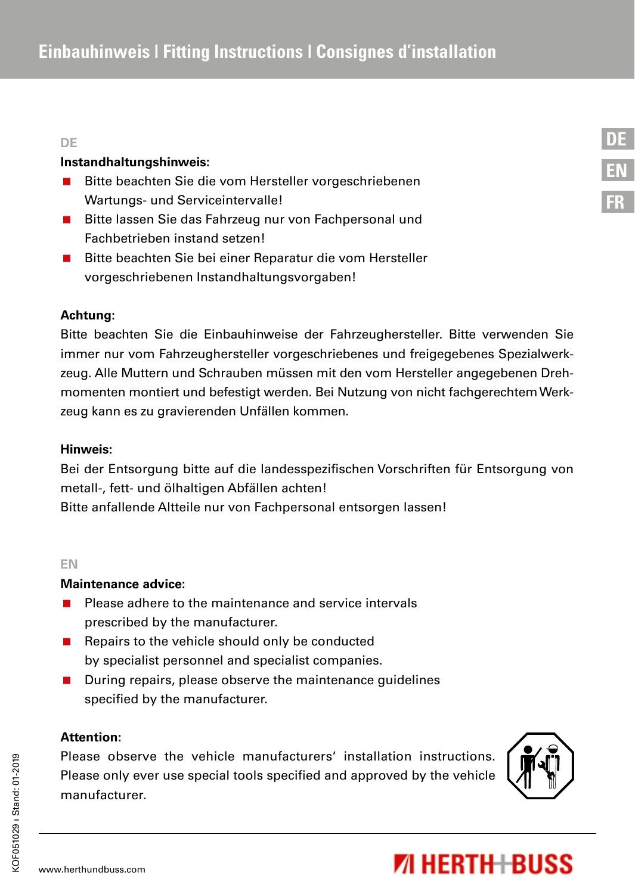#### **DE**

#### **Instandhaltungshinweis:**

- Bitte beachten Sie die vom Hersteller vorgeschriebenen Wartungs- und Serviceintervalle!
- Bitte lassen Sie das Fahrzeug nur von Fachpersonal und Fachbetrieben instand setzen!
- Bitte beachten Sie bei einer Reparatur die vom Hersteller vorgeschriebenen Instandhaltungsvorgaben!

# **Achtung:**

Bitte beachten Sie die Einbauhinweise der Fahrzeughersteller. Bitte verwenden Sie immer nur vom Fahrzeughersteller vorgeschriebenes und freigegebenes Spezialwerkzeug. Alle Muttern und Schrauben müssen mit den vom Hersteller angegebenen Drehmomenten montiert und befestigt werden. Bei Nutzung von nicht fachgerechtem Werkzeug kann es zu gravierenden Unfällen kommen.

#### **Hinweis:**

Bei der Entsorgung bitte auf die landesspezifischen Vorschriften für Entsorgung von metall-, fett- und ölhaltigen Abfällen achten! Bitte anfallende Altteile nur von Fachpersonal entsorgen lassen!

#### **EN**

## **Maintenance advice:**

- **Please adhere to the maintenance and service intervals** prescribed by the manufacturer.
- Repairs to the vehicle should only be conducted by specialist personnel and specialist companies.
- **During repairs, please observe the maintenance guidelines** specified by the manufacturer.

# **Attention:**

Please observe the vehicle manufacturers' installation instructions. Please only ever use special tools specified and approved by the vehicle manufacturer.



# **71 HERTH+BUSS**